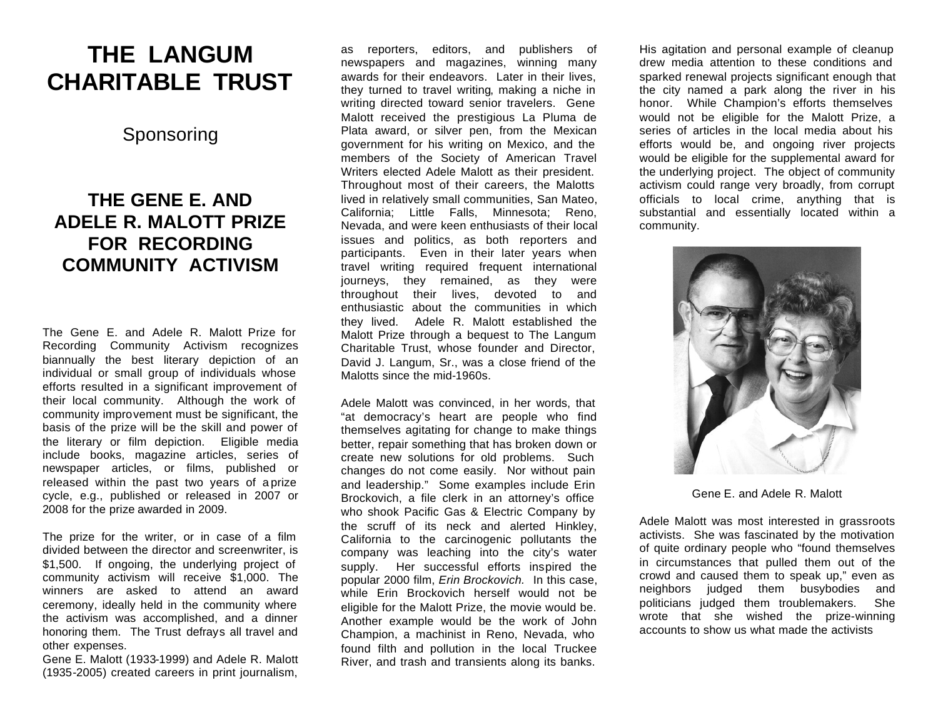## **THE LANGUM CHARITABLE TRUST**

Sponsoring

## **THE GENE E. AND ADELE R. MALOTT PRIZE FOR RECORDING COMMUNITY ACTIVISM**

The Gene E. and Adele R. Malott Prize for Recording Community Activism recognizes biannually the best literary depiction of an individual or small group of individuals whose efforts resulted in a significant improvement of their local community. Although the work of community improvement must be significant, the basis of the prize will be the skill and power of the literary or film depiction. Eligible media include books, magazine articles, series of newspaper articles, or films, published or released within the past two years of a prize cycle, e.g., published or released in 2007 or 2008 for the prize awarded in 2009.

The prize for the writer, or in case of a film divided between the director and screenwriter, is \$1,500. If ongoing, the underlying project of community activism will receive \$1,000. The winners are asked to attend an award ceremony, ideally held in the community where the activism was accomplished, and a dinner honoring them. The Trust defrays all travel and other expenses.

Gene E. Malott (1933-1999) and Adele R. Malott (1935-2005) created careers in print journalism,

as reporters, editors, and publishers of newspapers and magazines, winning many awards for their endeavors. Later in their lives, they turned to travel writing, making a niche in writing directed toward senior travelers. Gene Malott received the prestigious La Pluma de Plata award, or silver pen, from the Mexican government for his writing on Mexico, and the members of the Society of American Travel Writers elected Adele Malott as their president. Throughout most of their careers, the Malotts lived in relatively small communities, San Mateo, California; Little Falls, Minnesota; Reno, Nevada, and were keen enthusiasts of their local issues and politics, as both reporters and participants. Even in their later years when travel writing required frequent international journeys, they remained, as they were throughout their lives, devoted to and enthusiastic about the communities in which they lived. Adele R. Malott established the Malott Prize through a bequest to The Langum Charitable Trust, whose founder and Director, David J. Langum, Sr., was a close friend of the Malotts since the mid-1960s.

Adele Malott was convinced, in her words, that "at democracy's heart are people who find themselves agitating for change to make things better, repair something that has broken down or create new solutions for old problems. Such changes do not come easily. Nor without pain and leadership." Some examples include Erin Brockovich, a file clerk in an attorney's office who shook Pacific Gas & Electric Company by the scruff of its neck and alerted Hinkley, California to the carcinogenic pollutants the company was leaching into the city's water supply. Her successful efforts inspired the popular 2000 film, *Erin Brockovich.* In this case, while Erin Brockovich herself would not be eligible for the Malott Prize, the movie would be. Another example would be the work of John Champion, a machinist in Reno, Nevada, who found filth and pollution in the local Truckee River, and trash and transients along its banks.

His agitation and personal example of cleanup drew media attention to these conditions and sparked renewal projects significant enough that the city named a park along the river in his honor. While Champion's efforts themselves would not be eligible for the Malott Prize, a series of articles in the local media about his efforts would be, and ongoing river projects would be eligible for the supplemental award for the underlying project. The object of community activism could range very broadly, from corrupt officials to local crime, anything that is substantial and essentially located within a community.



Gene E. and Adele R. Malott

Adele Malott was most interested in grassroots activists. She was fascinated by the motivation of quite ordinary people who "found themselves in circumstances that pulled them out of the crowd and caused them to speak up," even as neighbors judged them busybodies and politicians judged them troublemakers. She wrote that she wished the prize-winning accounts to show us what made the activists